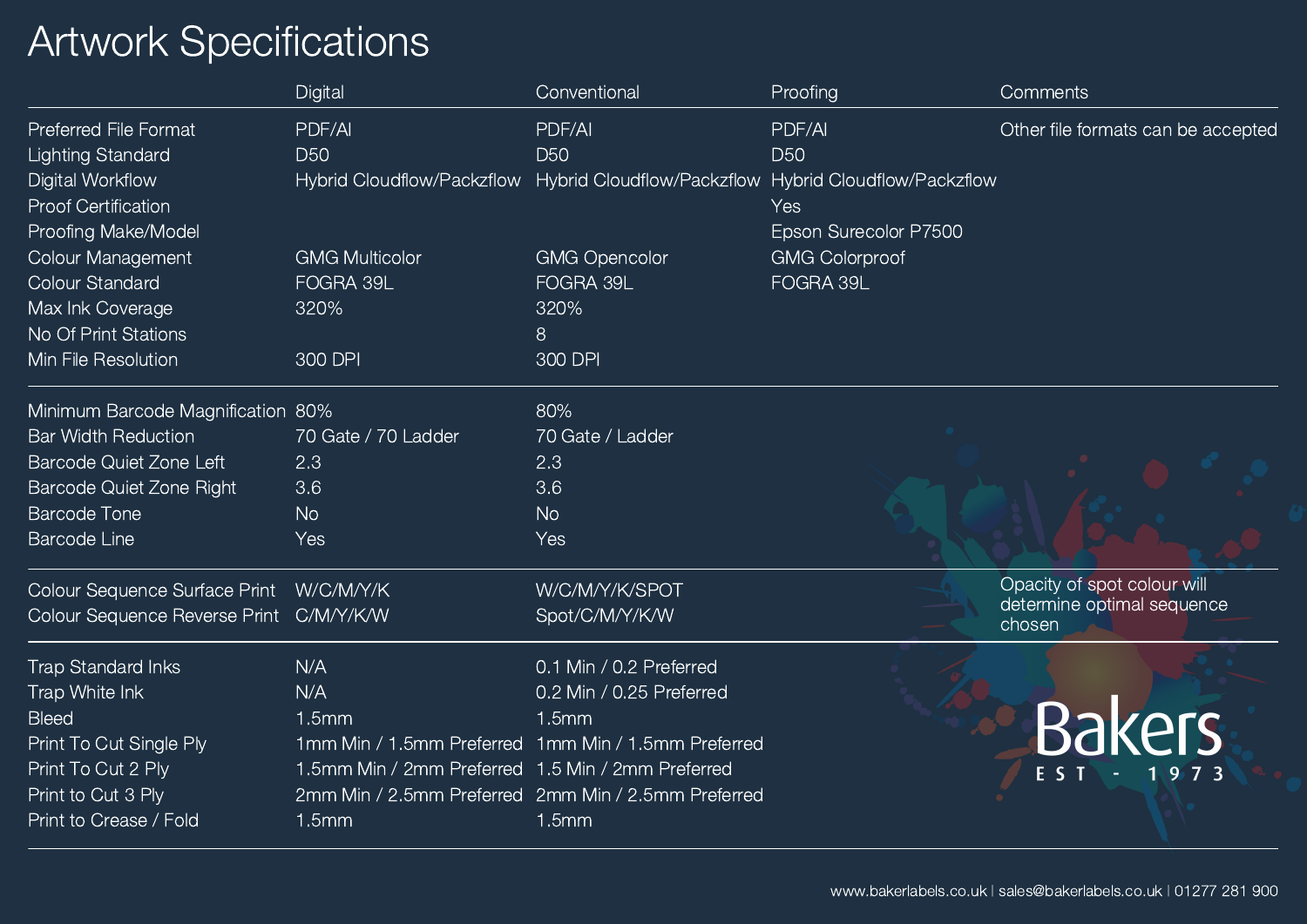## Artwork Specifications

|                                         | Digital                                           | Conventional                                                                     | Proofing              | <b>Comments</b>                      |
|-----------------------------------------|---------------------------------------------------|----------------------------------------------------------------------------------|-----------------------|--------------------------------------|
| <b>Preferred File Format</b>            | PDF/AI                                            | PDF/AI                                                                           | PDF/AI                | Other file formats can be accepted   |
| <b>Lighting Standard</b>                | <b>D50</b>                                        | <b>D50</b>                                                                       | <b>D50</b>            |                                      |
| <b>Digital Workflow</b>                 |                                                   | Hybrid Cloudflow/Packzflow Hybrid Cloudflow/Packzflow Hybrid Cloudflow/Packzflow |                       |                                      |
| <b>Proof Certification</b>              |                                                   |                                                                                  | Yes                   |                                      |
| Proofing Make/Model                     |                                                   |                                                                                  | Epson Surecolor P7500 |                                      |
| <b>Colour Management</b>                | <b>GMG Multicolor</b>                             | <b>GMG Opencolor</b>                                                             | <b>GMG Colorproof</b> |                                      |
| <b>Colour Standard</b>                  | FOGRA 39L                                         | FOGRA 39L                                                                        | FOGRA 39L             |                                      |
| Max Ink Coverage                        | 320%                                              | 320%                                                                             |                       |                                      |
| No Of Print Stations                    |                                                   | 8                                                                                |                       |                                      |
| Min File Resolution                     | 300 DPI                                           | 300 DPI                                                                          |                       |                                      |
| Minimum Barcode Magnification 80%       |                                                   | 80%                                                                              |                       |                                      |
| <b>Bar Width Reduction</b>              | 70 Gate / 70 Ladder                               | 70 Gate / Ladder                                                                 |                       |                                      |
| <b>Barcode Quiet Zone Left</b>          | 2.3                                               | 2.3                                                                              |                       |                                      |
| Barcode Quiet Zone Right                | 3.6                                               | 3.6                                                                              |                       |                                      |
| <b>Barcode Tone</b>                     | <b>No</b>                                         | N <sub>o</sub>                                                                   |                       |                                      |
| <b>Barcode Line</b>                     | Yes                                               | Yes                                                                              |                       |                                      |
| Colour Sequence Surface Print           | W/C/M/Y/K                                         | W/C/M/Y/K/SPOT                                                                   |                       | Opacity of spot colour will          |
| Colour Sequence Reverse Print C/M/Y/K/W |                                                   | Spot/C/M/Y/K/W                                                                   |                       | determine optimal sequence<br>chosen |
| <b>Trap Standard Inks</b>               | N/A                                               | 0.1 Min / 0.2 Preferred                                                          |                       |                                      |
| Trap White Ink                          | N/A                                               | 0.2 Min / 0.25 Preferred                                                         |                       |                                      |
| <b>Bleed</b>                            | 1.5mm                                             | 1.5mm                                                                            |                       | <b>Bakers</b>                        |
| Print To Cut Single Ply                 |                                                   | 1mm Min / 1.5mm Preferred 1mm Min / 1.5mm Preferred                              |                       |                                      |
| Print To Cut 2 Ply                      | 1.5mm Min / 2mm Preferred 1.5 Min / 2mm Preferred |                                                                                  |                       | E S                                  |
| Print to Cut 3 Ply                      |                                                   | 2mm Min / 2.5mm Preferred 2mm Min / 2.5mm Preferred                              |                       |                                      |
| Print to Crease / Fold                  | 1.5mm                                             | 1.5mm                                                                            |                       |                                      |